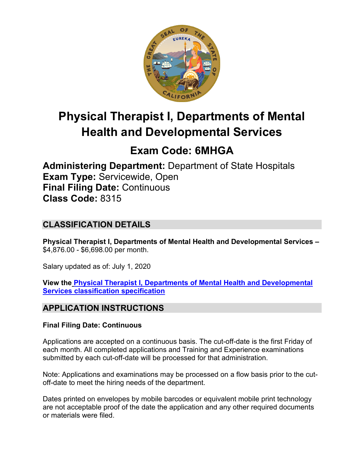

# **Physical Therapist I, Departments of Mental Health and Developmental Services**

# **Exam Code: 6MHGA**

**Administering Department:** Department of State Hospitals **Exam Type:** Servicewide, Open **Final Filing Date:** Continuous **Class Code:** 8315

# **CLASSIFICATION DETAILS**

**Physical Therapist I, Departments of Mental Health and Developmental Services –** \$4,876.00 - \$6,698.00 per month.

Salary updated as of: July 1, 2020

**View the [Physical Therapist I, Departments of Mental Health and Developmental](https://www.calhr.ca.gov/state-hr-professionals/pages/8280.aspx)  [Services classification specification](https://www.calhr.ca.gov/state-hr-professionals/pages/8280.aspx)**

# **APPLICATION INSTRUCTIONS**

### **Final Filing Date: Continuous**

Applications are accepted on a continuous basis. The cut-off-date is the first Friday of each month. All completed applications and Training and Experience examinations submitted by each cut-off-date will be processed for that administration.

Note: Applications and examinations may be processed on a flow basis prior to the cutoff-date to meet the hiring needs of the department.

Dates printed on envelopes by mobile barcodes or equivalent mobile print technology are not acceptable proof of the date the application and any other required documents or materials were filed.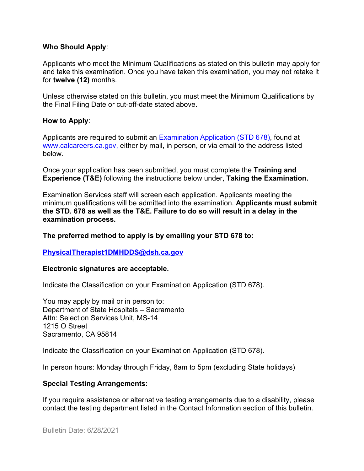#### **Who Should Apply**:

Applicants who meet the Minimum Qualifications as stated on this bulletin may apply for and take this examination. Once you have taken this examination, you may not retake it for **twelve (12)** months.

Unless otherwise stated on this bulletin, you must meet the Minimum Qualifications by the Final Filing Date or cut-off-date stated above.

#### **How to Apply**:

Applicants are required to submit an [Examination Application \(STD 678\),](https://jobs.ca.gov/pdf/std678.pdf) found at [www.calcareers.ca.gov,](http://www.calcareers.ca.gov/) either by mail, in person, or via email to the address listed below.

Once your application has been submitted, you must complete the **Training and Experience (T&E)** following the instructions below under, **Taking the Examination.**

Examination Services staff will screen each application. Applicants meeting the minimum qualifications will be admitted into the examination. **Applicants must submit the STD. 678 as well as the T&E. Failure to do so will result in a delay in the examination process.**

#### **The preferred method to apply is by emailing your STD 678 to:**

### **[PhysicalTherapist1DMHDDS@dsh.ca.gov](mailto:PhysicalTherapist1DMHDDS@dsh.ca.gov)**

#### **Electronic signatures are acceptable.**

Indicate the Classification on your Examination Application (STD 678).

You may apply by mail or in person to: Department of State Hospitals – Sacramento Attn: Selection Services Unit, MS-14 1215 O Street Sacramento, CA 95814

Indicate the Classification on your Examination Application (STD 678).

In person hours: Monday through Friday, 8am to 5pm (excluding State holidays)

### **Special Testing Arrangements:**

If you require assistance or alternative testing arrangements due to a disability, please contact the testing department listed in the Contact Information section of this bulletin.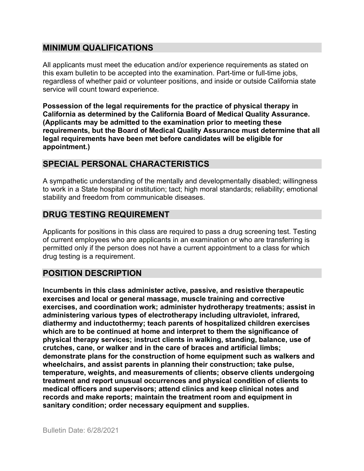## **MINIMUM QUALIFICATIONS**

All applicants must meet the education and/or experience requirements as stated on this exam bulletin to be accepted into the examination. Part-time or full-time jobs, regardless of whether paid or volunteer positions, and inside or outside California state service will count toward experience.

**Possession of the legal requirements for the practice of physical therapy in California as determined by the California Board of Medical Quality Assurance. (Applicants may be admitted to the examination prior to meeting these requirements, but the Board of Medical Quality Assurance must determine that all legal requirements have been met before candidates will be eligible for appointment.)**

# **SPECIAL PERSONAL CHARACTERISTICS**

A sympathetic understanding of the mentally and developmentally disabled; willingness to work in a State hospital or institution; tact; high moral standards; reliability; emotional stability and freedom from communicable diseases.

## **DRUG TESTING REQUIREMENT**

Applicants for positions in this class are required to pass a drug screening test. Testing of current employees who are applicants in an examination or who are transferring is permitted only if the person does not have a current appointment to a class for which drug testing is a requirement.

## **POSITION DESCRIPTION**

**Incumbents in this class administer active, passive, and resistive therapeutic exercises and local or general massage, muscle training and corrective exercises, and coordination work; administer hydrotherapy treatments; assist in administering various types of electrotherapy including ultraviolet, infrared, diathermy and inductothermy; teach parents of hospitalized children exercises which are to be continued at home and interpret to them the significance of physical therapy services; instruct clients in walking, standing, balance, use of crutches, cane, or walker and in the care of braces and artificial limbs; demonstrate plans for the construction of home equipment such as walkers and wheelchairs, and assist parents in planning their construction; take pulse, temperature, weights, and measurements of clients; observe clients undergoing treatment and report unusual occurrences and physical condition of clients to medical officers and supervisors; attend clinics and keep clinical notes and records and make reports; maintain the treatment room and equipment in sanitary condition; order necessary equipment and supplies.**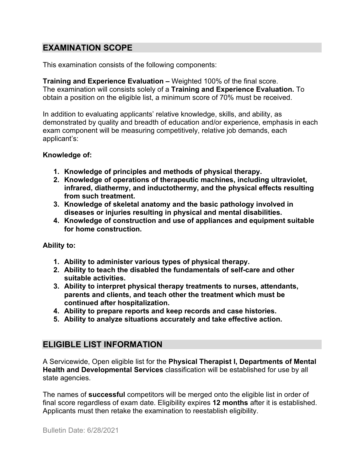# **EXAMINATION SCOPE**

This examination consists of the following components:

**Training and Experience Evaluation –** Weighted 100% of the final score. The examination will consists solely of a **Training and Experience Evaluation.** To obtain a position on the eligible list, a minimum score of 70% must be received.

In addition to evaluating applicants' relative knowledge, skills, and ability, as demonstrated by quality and breadth of education and/or experience, emphasis in each exam component will be measuring competitively, relative job demands, each applicant's:

### **Knowledge of:**

- **1. Knowledge of principles and methods of physical therapy.**
- **2. Knowledge of operations of therapeutic machines, including ultraviolet, infrared, diathermy, and inductothermy, and the physical effects resulting from such treatment.**
- **3. Knowledge of skeletal anatomy and the basic pathology involved in diseases or injuries resulting in physical and mental disabilities.**
- **4. Knowledge of construction and use of appliances and equipment suitable for home construction.**

### **Ability to:**

- **1. Ability to administer various types of physical therapy.**
- **2. Ability to teach the disabled the fundamentals of self-care and other suitable activities.**
- **3. Ability to interpret physical therapy treatments to nurses, attendants, parents and clients, and teach other the treatment which must be continued after hospitalization.**
- **4. Ability to prepare reports and keep records and case histories.**
- **5. Ability to analyze situations accurately and take effective action.**

## **ELIGIBLE LIST INFORMATION**

A Servicewide, Open eligible list for the **Physical Therapist I, Departments of Mental Health and Developmental Services** classification will be established for use by all state agencies.

The names of **successful** competitors will be merged onto the eligible list in order of final score regardless of exam date. Eligibility expires **12 months** after it is established. Applicants must then retake the examination to reestablish eligibility.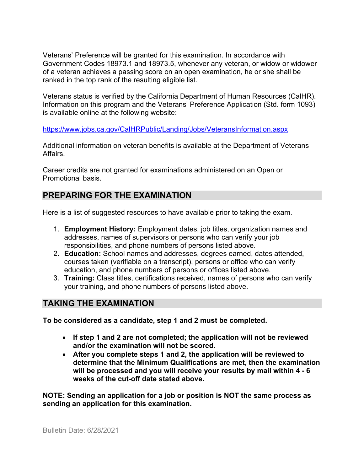Veterans' Preference will be granted for this examination. In accordance with Government Codes 18973.1 and 18973.5, whenever any veteran, or widow or widower of a veteran achieves a passing score on an open examination, he or she shall be ranked in the top rank of the resulting eligible list.

Veterans status is verified by the California Department of Human Resources (CalHR). Information on this program and the Veterans' Preference Application (Std. form 1093) is available online at the following website:

<https://www.jobs.ca.gov/CalHRPublic/Landing/Jobs/VeteransInformation.aspx>

Additional information on veteran benefits is available at the Department of Veterans Affairs.

Career credits are not granted for examinations administered on an Open or Promotional basis.

# **PREPARING FOR THE EXAMINATION**

Here is a list of suggested resources to have available prior to taking the exam.

- 1. **Employment History:** Employment dates, job titles, organization names and addresses, names of supervisors or persons who can verify your job responsibilities, and phone numbers of persons listed above.
- 2. **Education:** School names and addresses, degrees earned, dates attended, courses taken (verifiable on a transcript), persons or office who can verify education, and phone numbers of persons or offices listed above.
- 3. **Training:** Class titles, certifications received, names of persons who can verify your training, and phone numbers of persons listed above.

# **TAKING THE EXAMINATION**

**To be considered as a candidate, step 1 and 2 must be completed.**

- **If step 1 and 2 are not completed; the application will not be reviewed and/or the examination will not be scored.**
- **After you complete steps 1 and 2, the application will be reviewed to determine that the Minimum Qualifications are met, then the examination will be processed and you will receive your results by mail within 4 - 6 weeks of the cut-off date stated above.**

**NOTE: Sending an application for a job or position is NOT the same process as sending an application for this examination.**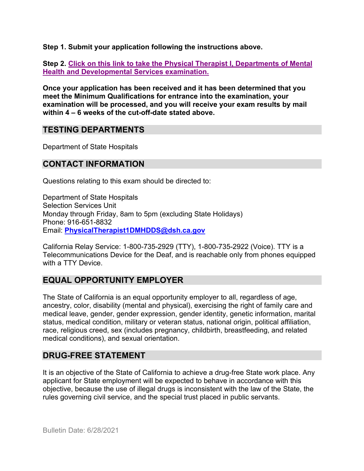**Step 1. Submit your application following the instructions above.**

**Step 2. [Click on this link to take the Physical Therapist I, Departments of Mental](https://www.surveymonkey.com/r/WNBLMWK)  [Health and Developmental Services](https://www.surveymonkey.com/r/WNBLMWK) examination.**

**Once your application has been received and it has been determined that you meet the Minimum Qualifications for entrance into the examination, your examination will be processed, and you will receive your exam results by mail within 4 – 6 weeks of the cut-off-date stated above.**

## **TESTING DEPARTMENTS**

Department of State Hospitals

## **CONTACT INFORMATION**

Questions relating to this exam should be directed to:

Department of State Hospitals Selection Services Unit Monday through Friday, 8am to 5pm (excluding State Holidays) Phone: 916-651-8832 Email: **[PhysicalTherapist1DMHDDS@dsh.ca.gov](mailto:PhysicalTherapist1DMHDDS@dsh.ca.gov)**

California Relay Service: 1-800-735-2929 (TTY), 1-800-735-2922 (Voice). TTY is a Telecommunications Device for the Deaf, and is reachable only from phones equipped with a TTY Device.

# **EQUAL OPPORTUNITY EMPLOYER**

The State of California is an equal opportunity employer to all, regardless of age, ancestry, color, disability (mental and physical), exercising the right of family care and medical leave, gender, gender expression, gender identity, genetic information, marital status, medical condition, military or veteran status, national origin, political affiliation, race, religious creed, sex (includes pregnancy, childbirth, breastfeeding, and related medical conditions), and sexual orientation.

# **DRUG-FREE STATEMENT**

It is an objective of the State of California to achieve a drug-free State work place. Any applicant for State employment will be expected to behave in accordance with this objective, because the use of illegal drugs is inconsistent with the law of the State, the rules governing civil service, and the special trust placed in public servants.